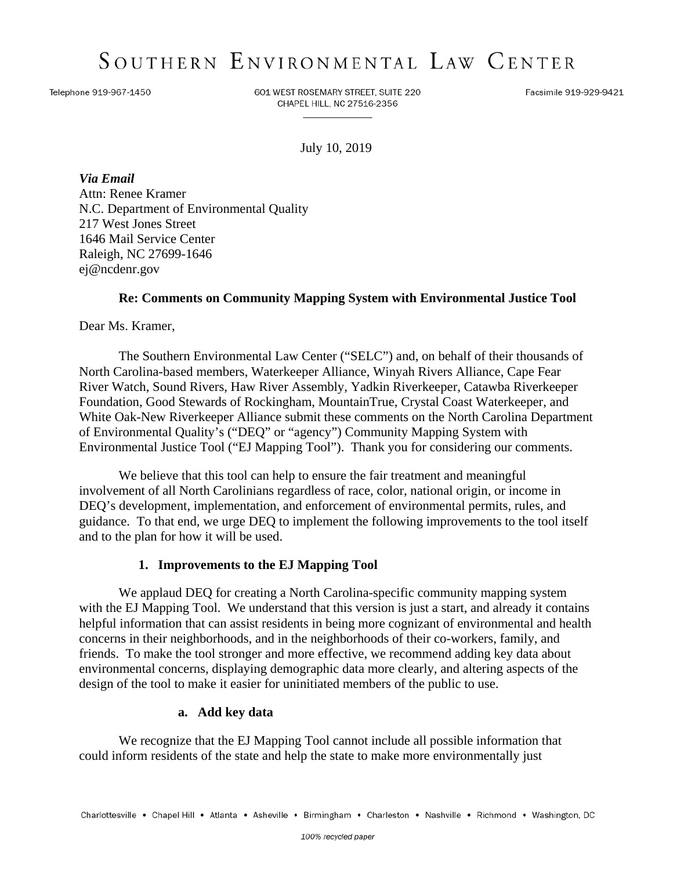# SOUTHERN ENVIRONMENTAL LAW CENTER

Telephone 919-967-1450

601 WEST ROSEMARY STREET, SUITE 220 CHAPEL HILL, NC 27516-2356

Facsimile 919-929-9421

July 10, 2019

*Via Email* Attn: Renee Kramer N.C. Department of Environmental Quality 217 West Jones Street 1646 Mail Service Center Raleigh, NC 27699-1646 ej@ncdenr.gov

### **Re: Comments on Community Mapping System with Environmental Justice Tool**

Dear Ms. Kramer,

The Southern Environmental Law Center ("SELC") and, on behalf of their thousands of North Carolina-based members, Waterkeeper Alliance, Winyah Rivers Alliance, Cape Fear River Watch, Sound Rivers, Haw River Assembly, Yadkin Riverkeeper, Catawba Riverkeeper Foundation, Good Stewards of Rockingham, MountainTrue, Crystal Coast Waterkeeper, and White Oak-New Riverkeeper Alliance submit these comments on the North Carolina Department of Environmental Quality's ("DEQ" or "agency") Community Mapping System with Environmental Justice Tool ("EJ Mapping Tool"). Thank you for considering our comments.

We believe that this tool can help to ensure the fair treatment and meaningful involvement of all North Carolinians regardless of race, color, national origin, or income in DEQ's development, implementation, and enforcement of environmental permits, rules, and guidance. To that end, we urge DEQ to implement the following improvements to the tool itself and to the plan for how it will be used.

#### **1. Improvements to the EJ Mapping Tool**

We applaud DEQ for creating a North Carolina-specific community mapping system with the EJ Mapping Tool. We understand that this version is just a start, and already it contains helpful information that can assist residents in being more cognizant of environmental and health concerns in their neighborhoods, and in the neighborhoods of their co-workers, family, and friends. To make the tool stronger and more effective, we recommend adding key data about environmental concerns, displaying demographic data more clearly, and altering aspects of the design of the tool to make it easier for uninitiated members of the public to use.

#### **a. Add key data**

We recognize that the EJ Mapping Tool cannot include all possible information that could inform residents of the state and help the state to make more environmentally just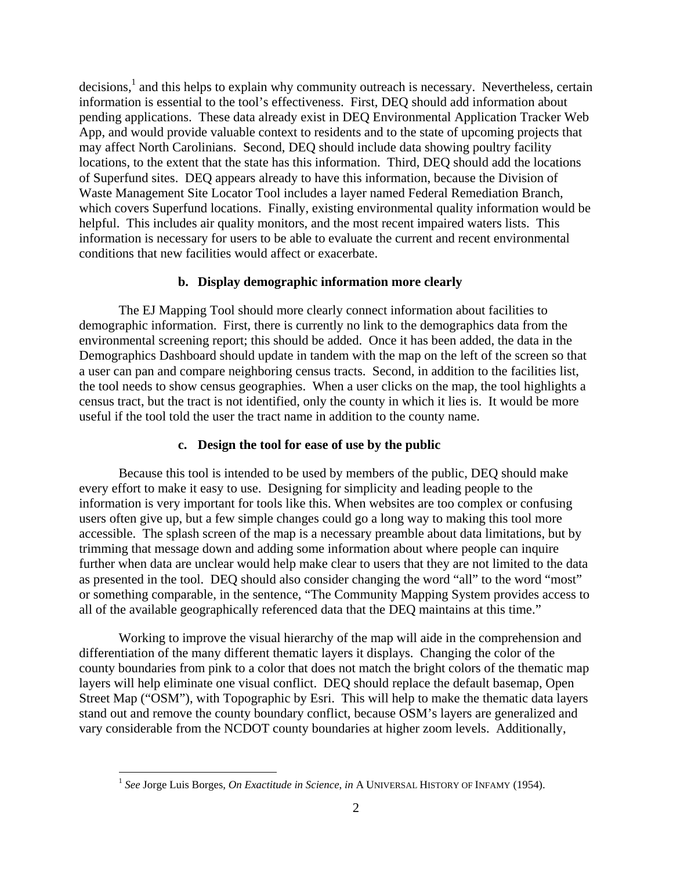decisions,<sup>1</sup> and this helps to explain why community outreach is necessary. Nevertheless, certain information is essential to the tool's effectiveness. First, DEQ should add information about pending applications. These data already exist in DEQ Environmental Application Tracker Web App, and would provide valuable context to residents and to the state of upcoming projects that may affect North Carolinians. Second, DEQ should include data showing poultry facility locations, to the extent that the state has this information. Third, DEQ should add the locations of Superfund sites. DEQ appears already to have this information, because the Division of Waste Management Site Locator Tool includes a layer named Federal Remediation Branch, which covers Superfund locations. Finally, existing environmental quality information would be helpful. This includes air quality monitors, and the most recent impaired waters lists. This information is necessary for users to be able to evaluate the current and recent environmental conditions that new facilities would affect or exacerbate.

## **b. Display demographic information more clearly**

The EJ Mapping Tool should more clearly connect information about facilities to demographic information. First, there is currently no link to the demographics data from the environmental screening report; this should be added. Once it has been added, the data in the Demographics Dashboard should update in tandem with the map on the left of the screen so that a user can pan and compare neighboring census tracts. Second, in addition to the facilities list, the tool needs to show census geographies. When a user clicks on the map, the tool highlights a census tract, but the tract is not identified, only the county in which it lies is. It would be more useful if the tool told the user the tract name in addition to the county name.

## **c. Design the tool for ease of use by the public**

Because this tool is intended to be used by members of the public, DEQ should make every effort to make it easy to use. Designing for simplicity and leading people to the information is very important for tools like this. When websites are too complex or confusing users often give up, but a few simple changes could go a long way to making this tool more accessible. The splash screen of the map is a necessary preamble about data limitations, but by trimming that message down and adding some information about where people can inquire further when data are unclear would help make clear to users that they are not limited to the data as presented in the tool. DEQ should also consider changing the word "all" to the word "most" or something comparable, in the sentence, "The Community Mapping System provides access to all of the available geographically referenced data that the DEQ maintains at this time."

Working to improve the visual hierarchy of the map will aide in the comprehension and differentiation of the many different thematic layers it displays. Changing the color of the county boundaries from pink to a color that does not match the bright colors of the thematic map layers will help eliminate one visual conflict. DEQ should replace the default basemap, Open Street Map ("OSM"), with Topographic by Esri. This will help to make the thematic data layers stand out and remove the county boundary conflict, because OSM's layers are generalized and vary considerable from the NCDOT county boundaries at higher zoom levels. Additionally,

 $\overline{a}$ 

<sup>1</sup> *See* Jorge Luis Borges, *On Exactitude in Science*, *in* A UNIVERSAL HISTORY OF INFAMY (1954).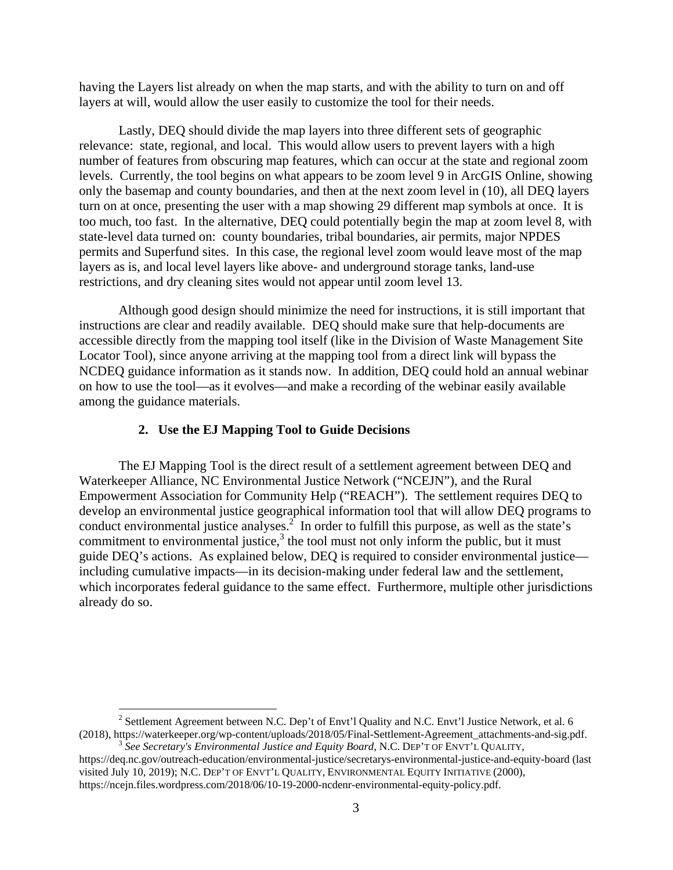having the Layers list already on when the map starts, and with the ability to turn on and off layers at will, would allow the user easily to customize the tool for their needs.

Lastly, DEQ should divide the map layers into three different sets of geographic relevance: state, regional, and local. This would allow users to prevent layers with a high number of features from obscuring map features, which can occur at the state and regional zoom levels. Currently, the tool begins on what appears to be zoom level 9 in ArcGIS Online, showing only the basemap and county boundaries, and then at the next zoom level in (10), all DEQ layers turn on at once, presenting the user with a map showing 29 different map symbols at once. It is too much, too fast. In the alternative, DEQ could potentially begin the map at zoom level 8, with state-level data turned on: county boundaries, tribal boundaries, air permits, major NPDES permits and Superfund sites. In this case, the regional level zoom would leave most of the map layers as is, and local level layers like above- and underground storage tanks, land-use restrictions, and dry cleaning sites would not appear until zoom level 13.

Although good design should minimize the need for instructions, it is still important that instructions are clear and readily available. DEQ should make sure that help-documents are accessible directly from the mapping tool itself (like in the Division of Waste Management Site Locator Tool), since anyone arriving at the mapping tool from a direct link will bypass the NCDEQ guidance information as it stands now. In addition, DEQ could hold an annual webinar on how to use the tool—as it evolves—and make a recording of the webinar easily available among the guidance materials.

#### **2. Use the EJ Mapping Tool to Guide Decisions**

The EJ Mapping Tool is the direct result of a settlement agreement between DEQ and Waterkeeper Alliance, NC Environmental Justice Network ("NCEJN"), and the Rural Empowerment Association for Community Help ("REACH"). The settlement requires DEQ to develop an environmental justice geographical information tool that will allow DEQ programs to conduct environmental justice analyses.<sup>2</sup> In order to fulfill this purpose, as well as the state's commitment to environmental justice, $3$  the tool must not only inform the public, but it must guide DEQ's actions. As explained below, DEQ is required to consider environmental justice including cumulative impacts—in its decision-making under federal law and the settlement, which incorporates federal guidance to the same effect. Furthermore, multiple other jurisdictions already do so.

<sup>&</sup>lt;sup>2</sup> Settlement Agreement between N.C. Dep't of Envt'l Quality and N.C. Envt'l Justice Network, et al. 6 (2018), https://waterkeeper.org/wp-content/uploads/2018/05/Final-Settlement-Agreement\_attachments-and-sig.pdf. 3 *See Secretary's Environmental Justice and Equity Board*, N.C. DEP'T OF ENVT'L QUALITY,

https://deq.nc.gov/outreach-education/environmental-justice/secretarys-environmental-justice-and-equity-board (last visited July 10, 2019); N.C. DEP'T OF ENVT'L QUALITY, ENVIRONMENTAL EQUITY INITIATIVE (2000), https://ncejn.files.wordpress.com/2018/06/10-19-2000-ncdenr-environmental-equity-policy.pdf.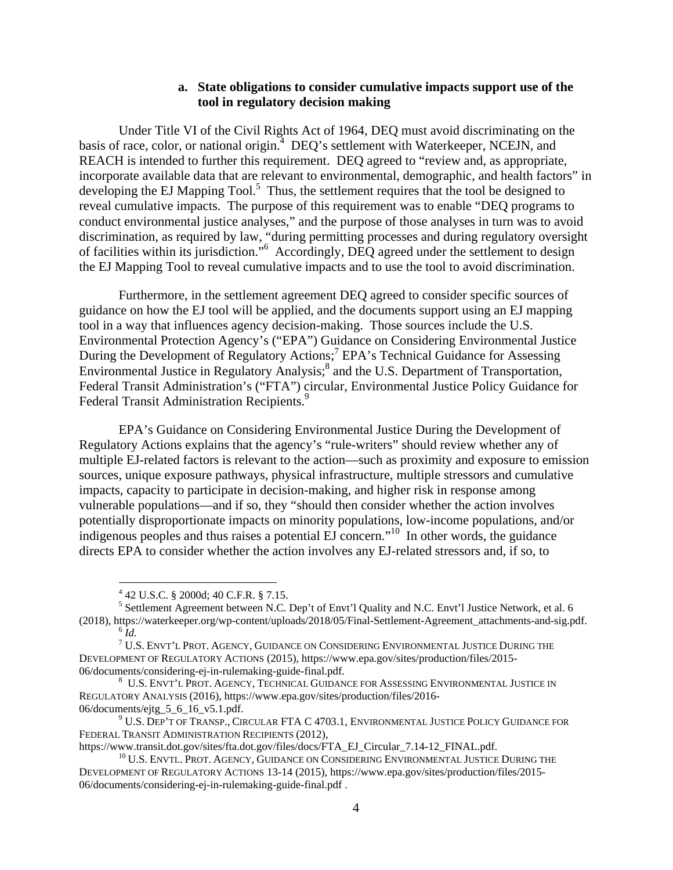### **a. State obligations to consider cumulative impacts support use of the tool in regulatory decision making**

Under Title VI of the Civil Rights Act of 1964, DEQ must avoid discriminating on the basis of race, color, or national origin.<sup>4</sup> DEQ's settlement with Waterkeeper, NCEJN, and REACH is intended to further this requirement. DEQ agreed to "review and, as appropriate, incorporate available data that are relevant to environmental, demographic, and health factors" in developing the EJ Mapping  $Tool.<sup>5</sup>$  Thus, the settlement requires that the tool be designed to reveal cumulative impacts. The purpose of this requirement was to enable "DEQ programs to conduct environmental justice analyses," and the purpose of those analyses in turn was to avoid discrimination, as required by law, "during permitting processes and during regulatory oversight of facilities within its jurisdiction."<sup>6</sup> Accordingly, DEQ agreed under the settlement to design the EJ Mapping Tool to reveal cumulative impacts and to use the tool to avoid discrimination.

Furthermore, in the settlement agreement DEQ agreed to consider specific sources of guidance on how the EJ tool will be applied, and the documents support using an EJ mapping tool in a way that influences agency decision-making. Those sources include the U.S. Environmental Protection Agency's ("EPA") Guidance on Considering Environmental Justice During the Development of Regulatory Actions;<sup>7</sup> EPA's Technical Guidance for Assessing Environmental Justice in Regulatory Analysis;<sup>8</sup> and the U.S. Department of Transportation, Federal Transit Administration's ("FTA") circular, Environmental Justice Policy Guidance for Federal Transit Administration Recipients.<sup>9</sup>

EPA's Guidance on Considering Environmental Justice During the Development of Regulatory Actions explains that the agency's "rule-writers" should review whether any of multiple EJ-related factors is relevant to the action—such as proximity and exposure to emission sources, unique exposure pathways, physical infrastructure, multiple stressors and cumulative impacts, capacity to participate in decision-making, and higher risk in response among vulnerable populations—and if so, they "should then consider whether the action involves potentially disproportionate impacts on minority populations, low-income populations, and/or indigenous peoples and thus raises a potential  $\vec{E}$  concern.<sup> $10$ </sup> In other words, the guidance directs EPA to consider whether the action involves any EJ-related stressors and, if so, to

 $\overline{a}$ 

<sup>4</sup> 42 U.S.C. § 2000d; 40 C.F.R. § 7.15.

<sup>&</sup>lt;sup>5</sup> Settlement Agreement between N.C. Dep't of Envt'l Quality and N.C. Envt'l Justice Network, et al. 6 (2018), https://waterkeeper.org/wp-content/uploads/2018/05/Final-Settlement-Agreement\_attachments-and-sig.pdf. 6 *Id.*<sup>7</sup>

TU.S. ENVT'L PROT. AGENCY, GUIDANCE ON CONSIDERING ENVIRONMENTAL JUSTICE DURING THE DEVELOPMENT OF REGULATORY ACTIONS (2015), https://www.epa.gov/sites/production/files/2015- 06/documents/considering-ej-in-rulemaking-guide-final.pdf. 8

U.S. ENVT'L PROT. AGENCY, TECHNICAL GUIDANCE FOR ASSESSING ENVIRONMENTAL JUSTICE IN REGULATORY ANALYSIS (2016), https://www.epa.gov/sites/production/files/2016- 06/documents/ejtg\_5\_6\_16\_v5.1.pdf.

 $^9$  U.S. Dep't of Transp., Circular FTA C 4703.1, Environmental Justice Policy Guidance for FEDERAL TRANSIT ADMINISTRATION RECIPIENTS (2012),<br>https://www.transit.dot.gov/sites/fta.dot.gov/files/docs/FTA EJ Circular 7.14-12 FINAL.pdf.

 $^{10}$  U.S. ENVTL. PROT. AGENCY, GUIDANCE ON CONSIDERING ENVIRONMENTAL JUSTICE DURING THE DEVELOPMENT OF REGULATORY ACTIONS 13-14 (2015), https://www.epa.gov/sites/production/files/2015- 06/documents/considering-ej-in-rulemaking-guide-final.pdf .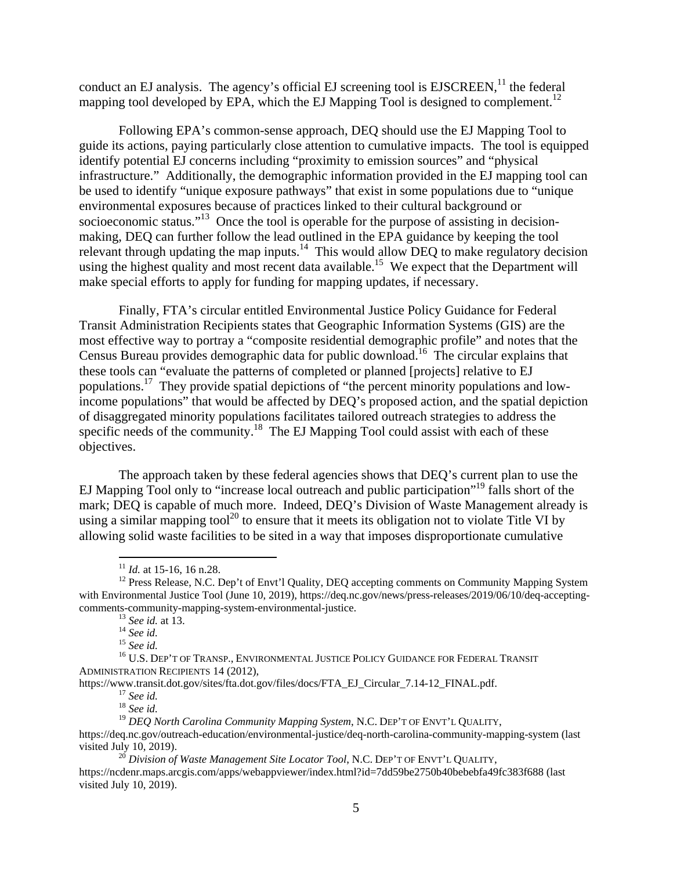conduct an EJ analysis. The agency's official EJ screening tool is  $EJSCREEN$ <sup>11</sup>, the federal mapping tool developed by EPA, which the EJ Mapping Tool is designed to complement.<sup>12</sup>

Following EPA's common-sense approach, DEQ should use the EJ Mapping Tool to guide its actions, paying particularly close attention to cumulative impacts. The tool is equipped identify potential EJ concerns including "proximity to emission sources" and "physical infrastructure." Additionally, the demographic information provided in the EJ mapping tool can be used to identify "unique exposure pathways" that exist in some populations due to "unique environmental exposures because of practices linked to their cultural background or socioeconomic status."<sup>13</sup> Once the tool is operable for the purpose of assisting in decisionmaking, DEQ can further follow the lead outlined in the EPA guidance by keeping the tool relevant through updating the map inputs.<sup>14</sup> This would allow DEQ to make regulatory decision using the highest quality and most recent data available.<sup>15</sup> We expect that the Department will make special efforts to apply for funding for mapping updates, if necessary.

Finally, FTA's circular entitled Environmental Justice Policy Guidance for Federal Transit Administration Recipients states that Geographic Information Systems (GIS) are the most effective way to portray a "composite residential demographic profile" and notes that the Census Bureau provides demographic data for public download.<sup>16</sup> The circular explains that these tools can "evaluate the patterns of completed or planned [projects] relative to EJ populations.17 They provide spatial depictions of "the percent minority populations and lowincome populations" that would be affected by DEQ's proposed action, and the spatial depiction of disaggregated minority populations facilitates tailored outreach strategies to address the specific needs of the community.<sup>18</sup> The EJ Mapping Tool could assist with each of these objectives.

The approach taken by these federal agencies shows that DEQ's current plan to use the EJ Mapping Tool only to "increase local outreach and public participation"<sup>19</sup> falls short of the mark; DEQ is capable of much more. Indeed, DEQ's Division of Waste Management already is using a similar mapping tool<sup>20</sup> to ensure that it meets its obligation not to violate Title VI by allowing solid waste facilities to be sited in a way that imposes disproportionate cumulative

 $11$  *Id.* at 15-16, 16 n.28.

<sup>&</sup>lt;sup>12</sup> Press Release, N.C. Dep't of Envt'l Quality, DEO accepting comments on Community Mapping System with Environmental Justice Tool (June 10, 2019), https://deq.nc.gov/news/press-releases/2019/06/10/deq-acceptingcomments-community-mapping-system-environmental-justice.<br>
<sup>13</sup> *See id.*<br>
<sup>14</sup> *See id.*<br>
<sup>15</sup> *See id.*<br>
<sup>16</sup> U.S. DEP'T OF TRANSP., ENVIRONMENTAL JUSTICE POLICY GUIDANCE FOR FEDERAL TRANSIT

ADMINISTRATION RECIPIENTS 14 (2012),

https://www.transit.dot.gov/sites/fta.dot.gov/files/docs/FTA\_EJ\_Circular\_7.14-12\_FINAL.pdf. 17 *See id.* <sup>18</sup> *See id.* 

<sup>&</sup>lt;sup>19</sup> *DEQ North Carolina Community Mapping System, N.C. DEP'T OF ENVT'L QUALITY,* https://deq.nc.gov/outreach-education/environmental-justice/deq-north-carolina-community-mapping-system (last

visited July 10, 2019). 20 *Division of Waste Management Site Locator Tool*, N.C. DEP'T OF ENVT'L QUALITY,

https://ncdenr.maps.arcgis.com/apps/webappviewer/index.html?id=7dd59be2750b40bebebfa49fc383f688 (last visited July 10, 2019).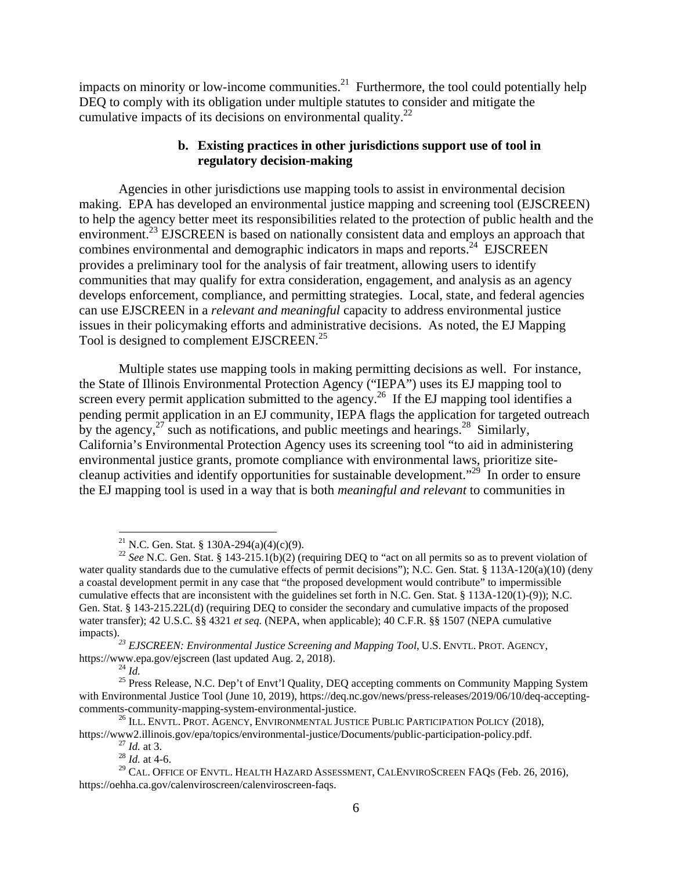impacts on minority or low-income communities.<sup>21</sup> Furthermore, the tool could potentially help DEQ to comply with its obligation under multiple statutes to consider and mitigate the cumulative impacts of its decisions on environmental quality. $^{22}$ 

# **b. Existing practices in other jurisdictions support use of tool in regulatory decision-making**

Agencies in other jurisdictions use mapping tools to assist in environmental decision making. EPA has developed an environmental justice mapping and screening tool (EJSCREEN) to help the agency better meet its responsibilities related to the protection of public health and the environment.<sup>23</sup> EJSCREEN is based on nationally consistent data and employs an approach that combines environmental and demographic indicators in maps and reports.<sup>24</sup> EJSCREEN provides a preliminary tool for the analysis of fair treatment, allowing users to identify communities that may qualify for extra consideration, engagement, and analysis as an agency develops enforcement, compliance, and permitting strategies. Local, state, and federal agencies can use EJSCREEN in a *relevant and meaningful* capacity to address environmental justice issues in their policymaking efforts and administrative decisions. As noted, the EJ Mapping Tool is designed to complement EJSCREEN.<sup>25</sup>

Multiple states use mapping tools in making permitting decisions as well. For instance, the State of Illinois Environmental Protection Agency ("IEPA") uses its EJ mapping tool to screen every permit application submitted to the agency.<sup>26</sup> If the EJ mapping tool identifies a pending permit application in an EJ community, IEPA flags the application for targeted outreach by the agency,  $27 \text{ such as notifications, and public meetings and hearings.}$ <sup>28</sup> Similarly, California's Environmental Protection Agency uses its screening tool "to aid in administering environmental justice grants, promote compliance with environmental laws, prioritize sitecleanup activities and identify opportunities for sustainable development."<sup>29</sup> In order to ensure the EJ mapping tool is used in a way that is both *meaningful and relevant* to communities in

 $\overline{a}$ 

<sup>&</sup>lt;sup>21</sup> N.C. Gen. Stat. § 130A-294(a)(4)(c)(9).

<sup>&</sup>lt;sup>22</sup> *See* N.C. Gen. Stat. § 143-215.1(b)(2) (requiring DEQ to "act on all permits so as to prevent violation of water quality standards due to the cumulative effects of permit decisions"); N.C. Gen. Stat. § 113A-120(a)(10) (deny a coastal development permit in any case that "the proposed development would contribute" to impermissible cumulative effects that are inconsistent with the guidelines set forth in N.C. Gen. Stat. § 113A-120(1)-(9)); N.C. Gen. Stat. § 143-215.22L(d) (requiring DEQ to consider the secondary and cumulative impacts of the proposed water transfer); 42 U.S.C. §§ 4321 *et seq.* (NEPA, when applicable); 40 C.F.R. §§ 1507 (NEPA cumulative

impacts).<br><sup>23</sup> EJSCREEN: Environmental Justice Screening and Mapping Tool, U.S. ENVTL. PROT. AGENCY,<br>https://www.epa.gov/ejscreen (last updated Aug. 2, 2018).<br><sup>24</sup> Id.

<sup>&</sup>lt;sup>25</sup> Press Release, N.C. Dep't of Envt'l Quality, DEQ accepting comments on Community Mapping System with Environmental Justice Tool (June 10, 2019), https://deq.nc.gov/news/press-releases/2019/06/10/deq-acceptingcomments-community-mapping-system-environmental-justice.<br><sup>26</sup> ILL. ENVTL. PROT. AGENCY, ENVIRONMENTAL JUSTICE PUBLIC PARTICIPATION POLICY (2018),

https://www2.illinois.gov/epa/topics/environmental-justice/Documents/public-participation-policy.pdf. 27 *Id.* at 3. 28 *Id.* at 4-6.

 $^{29}$  CAL. OFFICE OF ENVTL. HEALTH HAZARD ASSESSMENT, CALENVIROSCREEN FAQS (Feb. 26, 2016), https://oehha.ca.gov/calenviroscreen/calenviroscreen-faqs.